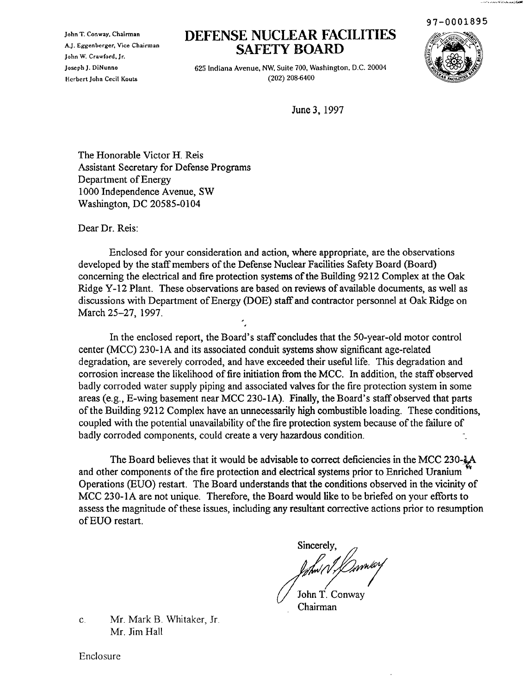97-0001895

فالأعاش والمستبطئ والمكافأة ووجود والمراجعة

John T. Conway. Chairman A.]. Eggenberger, Vice Chairman John W. Crawford. Jr. ]oseph]. DiNunno HerbertJohn Cecil Kouts

# **DEFENSE NUCLEAR FACILITIES SAFETY BOARD**



625 Indiana Avenue, NW, Suite 700, Washington. D.C. 20004 (202) 208-6400

June 3, 1997

The Honorable Victor H. Reis Assistant Secretary for Defense Programs Department of Energy 1000 Independence Avenue, SW Washington, DC 20585-0104

Dear Dr. Reis:

Enclosed for your consideration and action, where appropriate, are the observations developed by the staff members of the Defense Nuclear Facilities Safety Board (Board) concerning the electrical and fire protection systems of the Building 9212 Complex at the Oak Ridge Y-12 Plant. These observations are based on reviews of available documents, as well as discussions with Department of Energy (DOE) staff and contractor personnel at Oak Ridge on March 25-27, 1997.

In the enclosed report, the Board's staff concludes that the 50-year-old motor control center (MCC) 230-1A and its associated conduit systems show significant age-related degradation, are severely corroded, and have exceeded their useful life. This degradation and corrosion increase the likelihood of fire initiation from the MCC. In addition, the staff observed badly corroded water supply piping and associated valves for the fire protection system in some areas (e.g., E-wing basement near MCC 230-1A). Finally, the Board's staff observed that parts of the Building 9212 Complex have an unnecessarily high combustible loading. These conditions, coupled with the potential unavailability of the fire protection system because of the failure of badly corroded components, could create a very hazardous condition.

The Board believes that it would be advisable to correct deficiencies in the MCC 230- $\&$ A and other components of the fire protection and electrical systems prior to Enriched Uranium Operations (EDO) restart. The Board understands that the conditions observed in the vicinity of MCC 230-1A are not unique. Therefore, the Board would like to be briefed on your efforts to assess the magnitude of these issues, including any resultant corrective actions prior to resumption ofEUO restart.

Sincerely, lahw N Danwerf John T. Conway

Chairman

C. Mr. Mark B. Whitaker, *Ir.* Mr. Jim Hall

Enclosure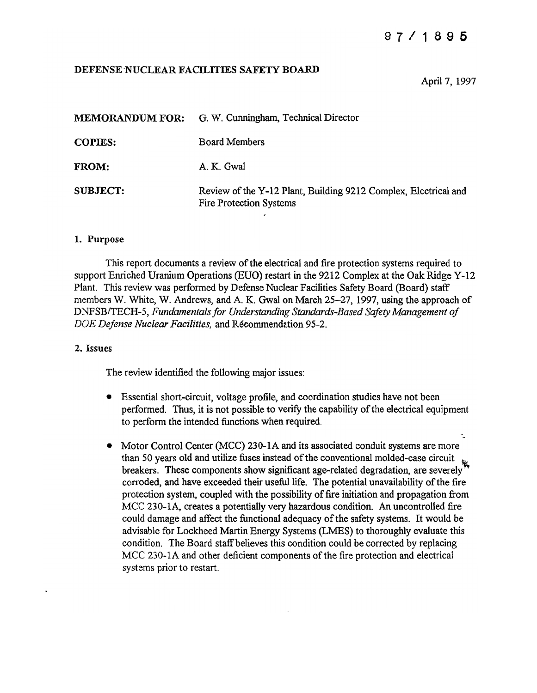# 87/ <sup>1</sup> 895

## DEFENSE NUCLEAR FACILITIES SAFETY BOARD

April 7, 1997

| <b>MEMORANDUM FOR:</b> | G. W. Cunningham, Technical Director                                                              |
|------------------------|---------------------------------------------------------------------------------------------------|
| <b>COPIES:</b>         | <b>Board Members</b>                                                                              |
| FROM:                  | A. K. Gwal                                                                                        |
| <b>SUBJECT:</b>        | Review of the Y-12 Plant, Building 9212 Complex, Electrical and<br><b>Fire Protection Systems</b> |

#### 1. Purpose

This report documents a review of the electrical and fire protection systems required to support Enriched Uranium Operations (EUO) restart in the 9212 Complex at the Oak Ridge Y-12 Plant. This review was performed by Defense Nuclear Facilities Safety Board (Board) staff members W. White, W. Andrews, and A. K. Gwal on March 25-27, 1997, using the approach of *DNFSB/TECH-5, Fundamentalsfor Understanding Standards-Based Safety Management of DOE Defense Nuclear Facilities,* and Recommendation 95-2.

#### 2. Issues

The review identified the following major issues:

- Essential short-circuit, voltage profile, and coordination studies have not been performed. Thus, it is not possible to verify the capability of the electrical equipment to perform the intended functions when required.
- Motor Control Center (MCC) 230-1A and its associated conduit systems are more than 50 years old and utilize fuses instead of the conventional molded-case circuit breakers. These components show significant age-related degradation, are severely corroded, and have exceeded their useful life. The potential unavailability of the fire protection system, coupled with the possibility of fire initiation and propagation from MCC 230-1A, creates a potentially very hazardous condition. An uncontrolled fire could damage and affect the functional adequacy of the safety systems. It would be advisable for Lockheed Martin Energy Systems (LMES) to thoroughly evaluate this condition. The Board staffbelieves this condition could be corrected by replacing MCC 230-1A and other deficient components of the fire protection and electrical systems prior to restart.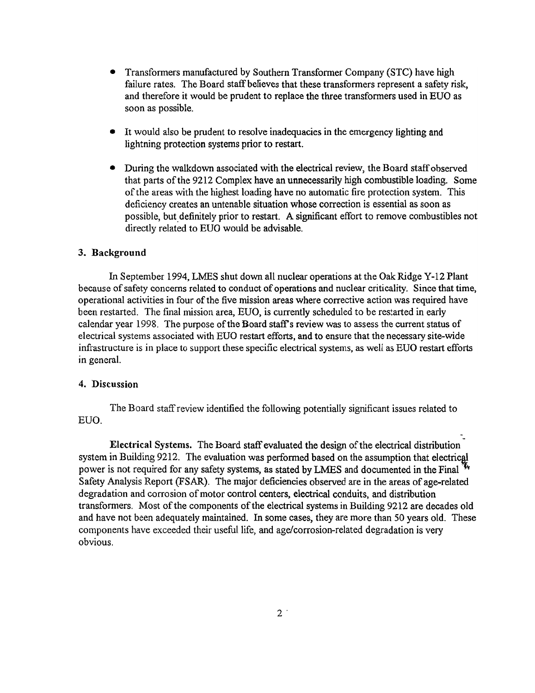- Transformers manufactured by Southern Transformer Company (STC) have high failure rates. The Board staff believes that these transformers represent a safety risk, and therefore it would be prudent to replace the three transfonners used in EUO as soon as possible.
- It would also be prudent to resolve inadequacies in the emergency lighting and lightning protection systems prior to restart.
- During the walkdown associated with the electrical review, the Board staff observed that parts of the 9212 Complex have an unnecessarily high combustible loading. Some of the areas with the highest loading have no automatic fire protection system. This deficiency creates an untenable situation whose correction is essential as soon as possible, but.definitely prior to restart. A significant effort to remove combustibles not directly related to EUO would be advisable.

## 3. Background

In September 1994, LMES shut down all nuclear operations at the Oak Ridge Y-12 Plant because of safety concerns related to conduct of operations and nuclear criticality. Since that time, operational activities in four ofthe five mission areas where corrective action was required have been restarted. The final mission area, EUO, is currently scheduled to be restarted in early calendar year 1998. The purpose of the Board staff's review was to assess the current status of electrical systems associated with EUO restart efforts, and to ensure that the necessary site-wide infrastructure is in place to support these specific electrical systems, as well as EUO restart efforts in general.

#### 4. Discussion

The Board staffreview identified the following potentially significant issues related to EUO.

Electrical Systems. The Board staff evaluated the design of the electrical distribution system in Building 9212. The evaluation was performed based on the assumption that electrical power is not required for any safety systems, as stated by LMES and documented in the Final  $\mathbf{W}$ Safety Analysis Report (FSAR). The major deficiencies observed are in the areas of age-related degradation and corrosion ofmotor control centers, electrical conduits, and distribution transformers. Most of the components of the electrical systems in Building 9212 are decades old and have not been adequately maintained. In some cases, they are more than 50 years old. These components have exceeded their useful life, and age/corrosion-related degradation is very obvious.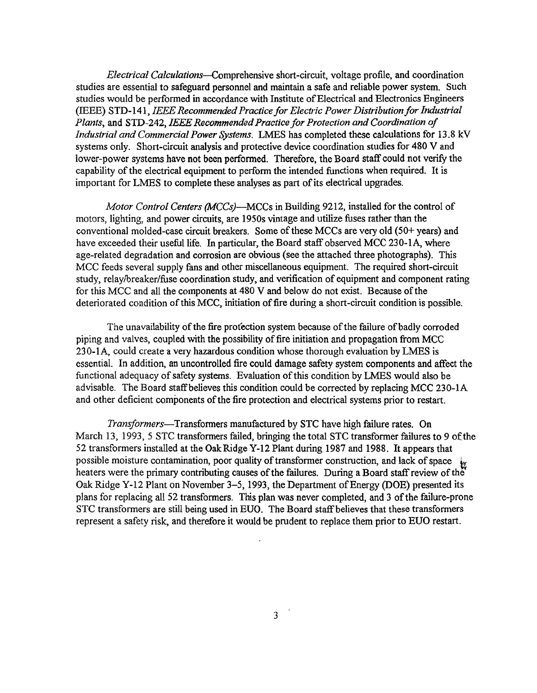*Electrical* Calculations-Comprehensive short-circuit, voltage profile, and coordination studies are essential to safeguard personnel and maintain a safe and reliable power system. Such studies would be performed in accordance with Institute of Electrical and Electronics Engineers (IEEE) STD-141, *IEEE RecommendedPracticefor Electric Power Distributionfor Industrial Plants,* and STD-242, *IEEE RecommendedPractice for Protection and Coordination of Industrial and Commercial Power Systems.* LMES has completed these calculations for 13.8 kV systems only. Short-circuit analysis and protective device coordination studies for 480 V and lower-power systems have not been performed. Therefore, the Board staff could not verify the capability of the electrical equipment to perform the intended functions when required. It is important for LMES to complete these analyses as part of its electrical upgrades.

*Motor Control Centers (MCCs)-MCCs* in Building 9212, installed for the control of motors, lighting, and power circuits, are 1950s vintage and utilize fuses rather than the conventional molded-case circuit breakers. Some of these MCCs are very old  $(50+ years)$  and have exceeded their useful life. In particular, the Board staff observed MCC 230-1A, where age-related degradation and corrosion are obvious (see the attached three photographs). This MCC feeds several supply fans and other miscellaneous equipment. The required short-circuit study, relay/breaker/fuse coordination study, and verification of equipment and component rating for this MCC and all the components at 480 V and below do not exist. Because of the deteriorated condition of this MCC, initiation of fire during a short-circuit condition is possible.

The unavailability of the fire protection system because of the failure of badly corroded piping and valves, coupled with the possibility of fire initiation and propagation from MCC 230-1A, could create a very hazardous condition whose thorough evaluation by LMES is essential. In addition, an uncontrolled fire could damage safety system components and affect the functional adequacy of safety systems. Evaluation of this condition by LMES would also be advisable. The Board staffbelieves this condition could be corrected by replacing MCC 230-1A and other deficient components of the fire protection and electrical systems prior to restart.

*Transformers-Transformers* manufactured by STC have high failure rates. On March 13, 1993, 5 STC transformers failed, bringing the total STC transformer failures to 9 of the 52 transformers installed at the OakRidge Y-12 Plant during 1987 and 1988. It appears that possible moisture contamination, poor quality of transformer construction, and lack of space heaters were the primary contributing causes of the failures. During a Board staff review of the Oak Ridge Y-12 Plant on November 3–5, 1993, the Department of Energy (DOE) presented its plans for replacing all 52 transformers. This plan was never completed, and 3 ofthe failure-prone STC transformers are still being used in EUO. The Board staff believes that these transformers represent a safety risk, and therefore it would be prudent to replace them prior to EUO restart.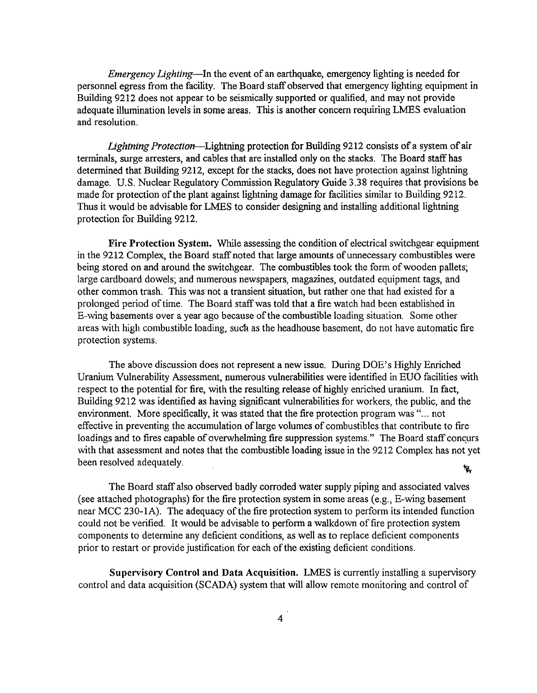*Emergency Lighting-In* the event of an earthquake, emergency lighting is needed for personnel egress from the facility. The Board staff observed that emergency lighting equipment in Building 9212 does not appear to be seismically supported or qualified, and may not provide adequate illumination levels in some areas. This is another concern requiring LMES evaluation and resolution.

*Lightning Protection*—Lightning protection for Building 9212 consists of a system of air terminals, surge arresters, and cables that are installed only on the stacks. The Board staffhas determined that Building 9212, except for the stacks, does not have protection against lightning damage. U.S. Nuclear Regulatory Commission Regulatory Guide 3.38 requires that provisions be made for protection of the plant against lightning damage for facilities similar to Building 9212. Thus it would be advisable for LMES to consider designing and installing additional lightning protection for Building 9212.

Fire Protection System. While assessing the condition of electrical switchgear equipment in the 9212 Complex, the Board staff noted that large amounts of unnecessary combustibles were being stored on and around the switchgear. The combustibles took the form of wooden pallets; large cardboard dowels; and numerous newspapers, magazines, outdated equipment tags, and other common trash. This was not a transient situation, but rather one that had existed for a prolonged period oftime. The Board staffwas told that a fire watch had been established in E-wing basements over a year ago because of the combustible loading situation. Some other areas with high combustible loading, such as the headhouse basement, do not have automatic fire protection systems.

The above discussion does not represent a new issue. During DOE's Highly Enriched Uranium Vulnerability Assessment, numerous vulnerabilities were identified in EUO facilities with respect to the potential for fire, with the resulting release of highly enriched uranium. In fact, Building 9212 was identified as having significant vulnerabilities for workers, the public, and the environment. More specifically, it was stated that the fire protection program was "... not effective in preventing the accumulation of large volumes of combustibles that contribute to fire loadings and to fires capable of overwhelming fire suppression systems." The Board staff concurs with that assessment and notes that the combustible loading issue in the 9212 Complex has not yet been resolved adequately. ₩,

The Board staff also observed badly corroded water supply piping and associated valves (see attached photographs) for the fire protection system in some areas (e.g., E-wing basement near MCC 230-1A). The adequacy of the fire protection system to perform its intended function could not be verified. It would be advisable to perform a walkdown of fire protection system components to determine any deficient conditions, as well as to replace deficient components prior to restart or provide justification for each of the existing deficient conditions.

Supervisory Control and Data Acquisition. LMES is currently installing a supervisory control and data acquisition (SCADA) system that will allow remote monitoring and control of